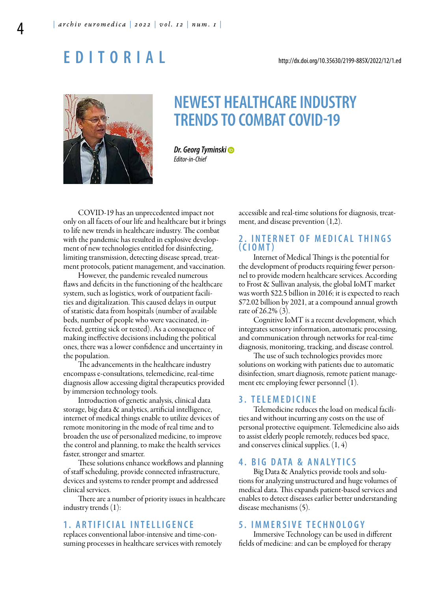# **E D i t o r i A l**

# **nEwEst hEAlthCArE inDustry trEnDs to CoMBAt CoviD-19**

**Dr. Georg Tyminski**  Editor-in-Chief

COVID-19 has an unprecedented impact not only on all facets of our life and healthcare but it brings to life new trends in healthcare industry. The combat with the pandemic has resulted in explosive development of new technologies entitled for disinfecting, limiting transmission, detecting disease spread, treatment protocols, patient management, and vaccination.

However, the pandemic revealed numerous flaws and deficits in the functioning of the healthcare system, such as logistics, work of outpatient facilities and digitalization. This caused delays in output of statistic data from hospitals (number of available beds, number of people who were vaccinated, infected, getting sick or tested). As a consequence of making ineffective decisions including the political ones, there was a lower confidence and uncertainty in the population.

The advancements in the healthcare industry encompass e-consultations, telemedicine, real-time diagnosis allow accessing digital therapeutics provided by immersion technology tools.

Introduction of genetic analysis, clinical data storage, big data & analytics, artificial intelligence, internet of medical things enable to utilize devices of remote monitoring in the mode of real time and to broaden the use of personalized medicine, to improve the control and planning, to make the health services faster, stronger and smarter.

These solutions enhance workflows and planning of staff scheduling, provide connected infrastructure, devices and systems to render prompt and addressed clinical services.

There are a number of priority issues in healthcare industry trends (1):

# **1 . A r t i f i C i A l i n t E l l i g E n C E**

replaces conventional labor-intensive and time-consuming processes in healthcare services with remotely accessible and real-time solutions for diagnosis, treatment, and disease prevention (1,2).

# **2. INTERNET OF MEDICAL THINGS ( C i o M t )**

Internet of Medical Things is the potential for the development of products requiring fewer personnel to provide modern healthcare services. According to Frost & Sullivan analysis, the global IoMT market was worth \$22.5 billion in 2016; it is expected to reach \$72.02 billion by 2021, at a compound annual growth rate of 26.2% (3).

Cognitive IoMT is a recent development, which integrates sensory information, automatic processing, and communication through networks for real-time diagnosis, monitoring, tracking, and disease control.

The use of such technologies provides more solutions on working with patients due to automatic disinfection, smart diagnosis, remote patient management etc employing fewer personnel (1).

#### **3 . t E l E M E D i C i n E**

Telemedicine reduces the load on medical facilities and without incurring any costs on the use of personal protective equipment. Telemedicine also aids to assist elderly people remotely, reduces bed space, and conserves clinical supplies. (1, 4)

# **4. BIG DATA & ANALYTICS**

Big Data & Analytics provide tools and solutions for analyzing unstructured and huge volumes of medical data. This expands patient-based services and enables to detect diseases earlier better understanding disease mechanisms (5).

## **5 . i M M E r s i v E t E C h n o l o g y**

Immersive Technology can be used in different fields of medicine: and can be employed for therapy